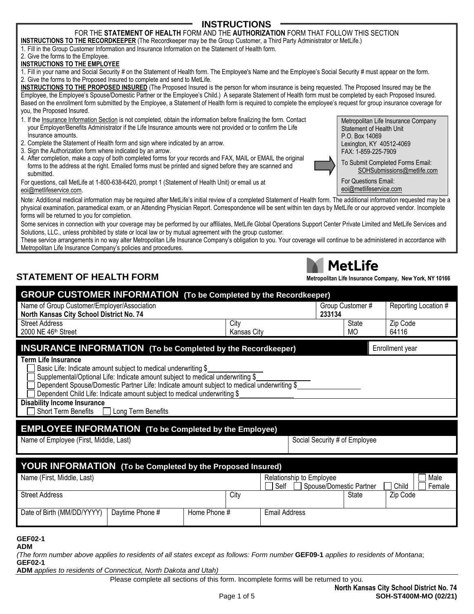#### 2. Give the forms to the Employee. **INSTRUCTIONS TO THE EMPLOYEE**

1. Fill in your name and Social Security # on the Statement of Health form. The Employee's Name and the Employee's Social Security # must appear on the form. 2. Give the forms to the Proposed Insured to complete and send to MetLife.

**INSTRUCTIONS TO THE RECORDKEEPER** (The Recordkeeper may be the Group Customer, a Third Party Administrator or MetLife.)

**INSTRUCTIONS TO THE PROPOSED INSURED** (The Proposed Insured is the person for whom insurance is being requested. The Proposed Insured may be the Employee, the Employee's Spouse/Domestic Partner or the Employee's Child.) A separate Statement of Health form must be completed by each Proposed Insured. Based on the enrollment form submitted by the Employee, a Statement of Health form is required to complete the employee's request for group insurance coverage for you, the Proposed Insured.

**INSTRUCTIONS** FOR THE **STATEMENT OF HEALTH** FORM AND THE **AUTHORIZATION** FORM THAT FOLLOW THIS SECTION

- 1. If the Insurance Information Section is not completed, obtain the information before finalizing the form. Contact your Employer/Benefits Administrator if the Life Insurance amounts were not provided or to confirm the Life Insurance amounts.
- 2. Complete the Statement of Health form and sign where indicated by an arrow.
- 3. Sign the Authorization form where indicated by an arrow.
- 4. After completion, make a copy of both completed forms for your records and FAX, MAIL or EMAIL the original forms to the address at the right. Emailed forms must be printed and signed before they are scanned and submitted.

For questions, call MetLife at 1-800-638-6420, prompt 1 (Statement of Health Unit) or email us at [eoi@metlifeservice.com.](mailto:eoi@metlife.com)

Note: Additional medical information may be required after MetLife's initial review of a completed Statement of Health form. The additional information requested may be a physical examination, paramedical exam, or an Attending Physician Report. Correspondence will be sent within ten days by MetLife or our approved vendor. Incomplete forms will be returned to you for completion.

Some services in connection with your coverage may be performed by our affiliates, MetLife Global Operations Support Center Private Limited and MetLife Services and Solutions, LLC., unless prohibited by state or local law or by mutual agreement with the group customer.

These service arrangements in no way alter Metropolitan Life Insurance Company's obligation to you. Your coverage will continue to be administered in accordance with Metropolitan Life Insurance Company's policies and procedures.

## **STATEMENT OF HEALTH FORM**

| <b>GROUP CUSTOMER INFORMATION</b> (To be Completed by the Recordkeeper)                 |                                                                                                                                                                                                                                                                                                                            |              |                     |                      |                          |        |                         |                   |                      |
|-----------------------------------------------------------------------------------------|----------------------------------------------------------------------------------------------------------------------------------------------------------------------------------------------------------------------------------------------------------------------------------------------------------------------------|--------------|---------------------|----------------------|--------------------------|--------|-------------------------|-------------------|----------------------|
| Name of Group Customer/Employer/Association<br>North Kansas City School District No. 74 |                                                                                                                                                                                                                                                                                                                            |              |                     |                      |                          | 233134 | Group Customer #        |                   | Reporting Location # |
| <b>Street Address</b><br>2000 NE 46th Street                                            |                                                                                                                                                                                                                                                                                                                            |              | City<br>Kansas City |                      |                          |        | State<br><b>MO</b>      | Zip Code<br>64116 |                      |
|                                                                                         |                                                                                                                                                                                                                                                                                                                            |              |                     |                      |                          |        |                         |                   |                      |
| <b>INSURANCE INFORMATION</b> (To be Completed by the Recordkeeper)                      |                                                                                                                                                                                                                                                                                                                            |              |                     |                      |                          |        |                         | Enrollment year   |                      |
| <b>Term Life Insurance</b>                                                              | Basic Life: Indicate amount subject to medical underwriting \$<br>Supplemental/Optional Life: Indicate amount subject to medical underwriting \$<br>Dependent Spouse/Domestic Partner Life: Indicate amount subject to medical underwriting \$<br>Dependent Child Life: Indicate amount subject to medical underwriting \$ |              |                     |                      |                          |        |                         |                   |                      |
| <b>Disability Income Insurance</b><br><b>Short Term Benefits</b>                        | Long Term Benefits                                                                                                                                                                                                                                                                                                         |              |                     |                      |                          |        |                         |                   |                      |
| <b>EMPLOYEE INFORMATION</b> (To be Completed by the Employee)                           |                                                                                                                                                                                                                                                                                                                            |              |                     |                      |                          |        |                         |                   |                      |
|                                                                                         | Name of Employee (First, Middle, Last)<br>Social Security # of Employee                                                                                                                                                                                                                                                    |              |                     |                      |                          |        |                         |                   |                      |
| <b>YOUR INFORMATION</b> (To be Completed by the Proposed Insured)                       |                                                                                                                                                                                                                                                                                                                            |              |                     |                      |                          |        |                         |                   |                      |
| Name (First, Middle, Last)                                                              |                                                                                                                                                                                                                                                                                                                            |              |                     | Self                 | Relationship to Employee |        | Spouse/Domestic Partner | Child             | Male<br>Female       |
| <b>Street Address</b>                                                                   |                                                                                                                                                                                                                                                                                                                            |              | City                |                      |                          |        | State                   | Zip Code          |                      |
| Date of Birth (MM/DD/YYYY)                                                              | Daytime Phone #                                                                                                                                                                                                                                                                                                            | Home Phone # |                     | <b>Email Address</b> |                          |        |                         |                   |                      |
| GEF02-1<br>ADM                                                                          |                                                                                                                                                                                                                                                                                                                            |              |                     |                      |                          |        |                         |                   |                      |

*(The form number above applies to residents of all states except as follows: Form number* **GEF09-1** *applies to residents of Montana*; **GEF02-1**

**ADM** *applies to residents of Connecticut, North Dakota and Utah)*

Please complete all sections of this form. Incomplete forms will be returned to you.

Metropolitan Life Insurance Company Statement of Health Unit P.O. Box 14069 Lexington, KY 40512-4069 FAX: 1-859-225-7909

To Submit Completed Forms Email: [SOHSubmissions@metlife.com](mailto:SOHSubmissions@MetLife.com)

For Questions Email: [eoi@metlifeservice.com](mailto:eoi@metlife.com)



# **MetLife**

| letropolitan Life Insurance Company, New York, NY 10166 |  |
|---------------------------------------------------------|--|
|---------------------------------------------------------|--|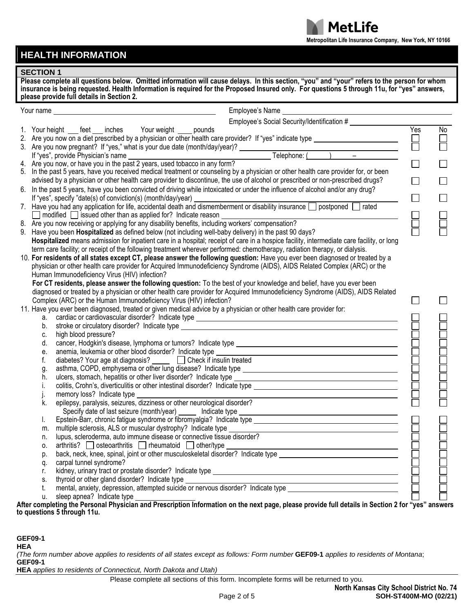

# **HEALTH INFORMATION**

### **SECTION 1**

**Please complete all questions below. Omitted information will cause delays. In this section, "you" and "your" refers to the person for whom insurance is being requested. Health Information is required for the Proposed Insured only. For questions 5 through 11u, for "yes" answers, please provide full details in Section 2.**

| Your name                                                                                                                       | Employee's Name<br><u> 1980 - Johann Barbara, martxa alemaniar amerikan a</u>                                                                                                                                                         |        |                |  |
|---------------------------------------------------------------------------------------------------------------------------------|---------------------------------------------------------------------------------------------------------------------------------------------------------------------------------------------------------------------------------------|--------|----------------|--|
|                                                                                                                                 | Employee's Social Security/Identification #                                                                                                                                                                                           |        |                |  |
|                                                                                                                                 | 1. Your height ___ feet ___ inches Your weight ____ pounds                                                                                                                                                                            | Yes    | $\overline{N}$ |  |
|                                                                                                                                 |                                                                                                                                                                                                                                       |        |                |  |
|                                                                                                                                 |                                                                                                                                                                                                                                       | $\Box$ |                |  |
|                                                                                                                                 | 3. Are you now pregnant? If "yes," what is your due date (month/day/year)?<br>If "yes", provide Physician's name<br>4. Are you now, or have you in the past 2 years, used tobacco in any form?<br>Telephone: (<br>Telephone: (<br>Tel |        |                |  |
|                                                                                                                                 |                                                                                                                                                                                                                                       |        |                |  |
|                                                                                                                                 | 5. In the past 5 years, have you received medical treatment or counseling by a physician or other health care provider for, or been                                                                                                   |        |                |  |
|                                                                                                                                 | advised by a physician or other health care provider to discontinue, the use of alcohol or prescribed or non-prescribed drugs?                                                                                                        | П      |                |  |
| 6. In the past 5 years, have you been convicted of driving while intoxicated or under the influence of alcohol and/or any drug? |                                                                                                                                                                                                                                       |        |                |  |
| If "yes", specify "date(s) of conviction(s) (month/day/year)                                                                    |                                                                                                                                                                                                                                       |        |                |  |
|                                                                                                                                 | 7. Have you had any application for life, accidental death and dismemberment or disability insurance nostponed and rated                                                                                                              |        |                |  |
|                                                                                                                                 | 8. Are you now receiving or applying for any disability benefits, including workers' compensation?<br>9. Have you heap Hospitalized as defined in the studing workers' compensation?                                                  |        |                |  |
|                                                                                                                                 |                                                                                                                                                                                                                                       |        |                |  |
|                                                                                                                                 | 9. Have you been Hospitalized as defined below (not including well-baby delivery) in the past 90 days?                                                                                                                                |        |                |  |
|                                                                                                                                 | Hospitalized means admission for inpatient care in a hospital; receipt of care in a hospice facility, intermediate care facility, or long                                                                                             |        |                |  |
|                                                                                                                                 | term care facility; or receipt of the following treatment wherever performed: chemotherapy, radiation therapy, or dialysis.                                                                                                           |        |                |  |
|                                                                                                                                 | 10. For residents of all states except CT, please answer the following question: Have you ever been diagnosed or treated by a                                                                                                         |        |                |  |
|                                                                                                                                 | physician or other health care provider for Acquired Immunodeficiency Syndrome (AIDS), AIDS Related Complex (ARC) or the                                                                                                              |        |                |  |
|                                                                                                                                 | Human Immunodeficiency Virus (HIV) infection?                                                                                                                                                                                         |        |                |  |
|                                                                                                                                 | For CT residents, please answer the following question: To the best of your knowledge and belief, have you ever been                                                                                                                  |        |                |  |
|                                                                                                                                 | diagnosed or treated by a physician or other health care provider for Acquired Immunodeficiency Syndrome (AIDS), AIDS Related                                                                                                         |        |                |  |
|                                                                                                                                 | Complex (ARC) or the Human Immunodeficiency Virus (HIV) infection?                                                                                                                                                                    |        |                |  |
|                                                                                                                                 | 11. Have you ever been diagnosed, treated or given medical advice by a physician or other health care provider for:                                                                                                                   |        |                |  |
|                                                                                                                                 | cardiac or cardiovascular disorder? Indicate type ______________________________<br>a.                                                                                                                                                |        |                |  |
|                                                                                                                                 | stroke or circulatory disorder? Indicate type example and the structure of the stroke or circulatory disorder?<br>b.                                                                                                                  |        |                |  |
|                                                                                                                                 | high blood pressure?<br>c.                                                                                                                                                                                                            |        |                |  |
|                                                                                                                                 | d.                                                                                                                                                                                                                                    |        |                |  |
|                                                                                                                                 | е.                                                                                                                                                                                                                                    |        |                |  |
|                                                                                                                                 | diabetes? Your age at diagnosis? _____ [ Check if insulin treated<br>f.                                                                                                                                                               |        |                |  |
|                                                                                                                                 | g.                                                                                                                                                                                                                                    |        |                |  |
|                                                                                                                                 | h.                                                                                                                                                                                                                                    |        |                |  |
|                                                                                                                                 | İ.                                                                                                                                                                                                                                    |        |                |  |
|                                                                                                                                 | memory loss? Indicate type<br><u> 1989 - Johann Barn, fransk politik amerikansk politik (d. 1989)</u>                                                                                                                                 |        |                |  |
|                                                                                                                                 | epilepsy, paralysis, seizures, dizziness or other neurological disorder?<br>k.                                                                                                                                                        |        |                |  |
|                                                                                                                                 | Specify date of last seizure (month/year) ______ Indicate type<br><u> 1989 - Johann Stoff, deutscher Stoffen und der Stoffen und der Stoffen und der Stoffen und der Stoffen und der</u>                                              |        |                |  |
|                                                                                                                                 | multiple sclerosis, ALS or muscular dystrophy? Indicate type                                                                                                                                                                          |        |                |  |
|                                                                                                                                 | m.<br><u> 1989 - Johann Stoff, deutscher Stoff, der Stoff, der Stoff, der Stoff, der Stoff, der Stoff, der Stoff, der </u><br>lupus, scleroderma, auto immune disease or connective tissue disorder?                                  |        |                |  |
|                                                                                                                                 | n.<br>arthritis? osteoarthritis rheumatoid other/type<br>0.                                                                                                                                                                           |        |                |  |
|                                                                                                                                 | p.                                                                                                                                                                                                                                    |        |                |  |
|                                                                                                                                 | carpal tunnel syndrome?<br>q.                                                                                                                                                                                                         |        |                |  |
|                                                                                                                                 | r.                                                                                                                                                                                                                                    |        |                |  |
|                                                                                                                                 | thyroid or other gland disorder? Indicate type<br>S.                                                                                                                                                                                  |        |                |  |
|                                                                                                                                 | t.                                                                                                                                                                                                                                    |        |                |  |
|                                                                                                                                 | sleep apnea? Indicate type<br>u.                                                                                                                                                                                                      |        |                |  |
|                                                                                                                                 | After completing the Personal Physician and Prescription Information on the next page, please provide full details in Section 2 for "yes" answers                                                                                     |        |                |  |
|                                                                                                                                 | to questions 5 through 11u.                                                                                                                                                                                                           |        |                |  |

**GEF09-1**

**HEA**

*(The form number above applies to residents of all states except as follows: Form number* **GEF09-1** *applies to residents of Montana*; **GEF09-1**

**HEA** *applies to residents of Connecticut, North Dakota and Utah)*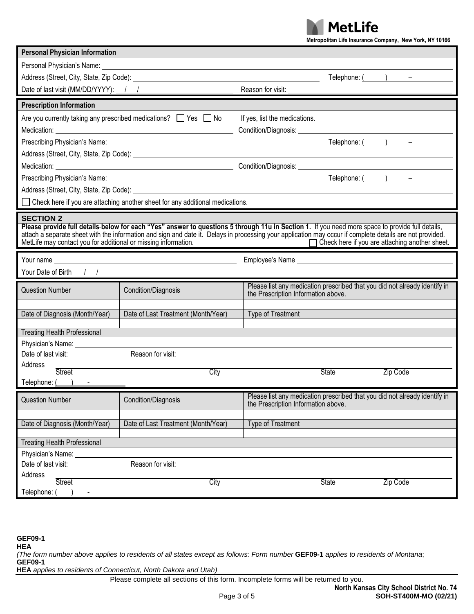

| Metropolitan Life Insurance Company, New York, NY 10166 |  |  |  |  |  |  |
|---------------------------------------------------------|--|--|--|--|--|--|
|---------------------------------------------------------|--|--|--|--|--|--|

| <b>Personal Physician Information</b>                                                                                                                                                                                                                                                                                                                                                                         |                                                                                                                                                                                                                                                                                                                                                                                                                                  |                                     |              |                                                                            |
|---------------------------------------------------------------------------------------------------------------------------------------------------------------------------------------------------------------------------------------------------------------------------------------------------------------------------------------------------------------------------------------------------------------|----------------------------------------------------------------------------------------------------------------------------------------------------------------------------------------------------------------------------------------------------------------------------------------------------------------------------------------------------------------------------------------------------------------------------------|-------------------------------------|--------------|----------------------------------------------------------------------------|
|                                                                                                                                                                                                                                                                                                                                                                                                               |                                                                                                                                                                                                                                                                                                                                                                                                                                  |                                     |              |                                                                            |
|                                                                                                                                                                                                                                                                                                                                                                                                               |                                                                                                                                                                                                                                                                                                                                                                                                                                  |                                     |              | Telephone: $($ $)$ $-$                                                     |
| Date of last visit (MM/DD/YYYY): 1 /                                                                                                                                                                                                                                                                                                                                                                          |                                                                                                                                                                                                                                                                                                                                                                                                                                  | Reason for visit:                   |              |                                                                            |
| <b>Prescription Information</b>                                                                                                                                                                                                                                                                                                                                                                               |                                                                                                                                                                                                                                                                                                                                                                                                                                  |                                     |              |                                                                            |
|                                                                                                                                                                                                                                                                                                                                                                                                               | Are you currently taking any prescribed medications? $\Box$ Yes $\Box$ No                                                                                                                                                                                                                                                                                                                                                        | If yes, list the medications.       |              |                                                                            |
|                                                                                                                                                                                                                                                                                                                                                                                                               |                                                                                                                                                                                                                                                                                                                                                                                                                                  |                                     |              |                                                                            |
|                                                                                                                                                                                                                                                                                                                                                                                                               |                                                                                                                                                                                                                                                                                                                                                                                                                                  |                                     |              | Telephone: $($ $)$ $-$                                                     |
|                                                                                                                                                                                                                                                                                                                                                                                                               |                                                                                                                                                                                                                                                                                                                                                                                                                                  |                                     |              |                                                                            |
|                                                                                                                                                                                                                                                                                                                                                                                                               |                                                                                                                                                                                                                                                                                                                                                                                                                                  |                                     |              |                                                                            |
|                                                                                                                                                                                                                                                                                                                                                                                                               |                                                                                                                                                                                                                                                                                                                                                                                                                                  |                                     |              | Telephone: $($ $)$ $-$                                                     |
|                                                                                                                                                                                                                                                                                                                                                                                                               | Address (Street, City, State, Zip Code): <u>the contract of the contract of the contract of the contract of the contract of the contract of the contract of the contract of the contract of the contract of the contract of the </u>                                                                                                                                                                                             |                                     |              |                                                                            |
|                                                                                                                                                                                                                                                                                                                                                                                                               | Check here if you are attaching another sheet for any additional medications.                                                                                                                                                                                                                                                                                                                                                    |                                     |              |                                                                            |
| <b>SECTION 2</b>                                                                                                                                                                                                                                                                                                                                                                                              | Please provide full details-below for each "Yes" answer to questions 5 through 11u in Section 1. If you need more space to provide full details,<br>attach a separate sheet with the information and sign and date it. Delays in processing your application may occur if complete details are not provided.<br>MetLife may contact you for additional or missing information.<br>Check here if you are attaching another sheet. |                                     |              |                                                                            |
| Your name                                                                                                                                                                                                                                                                                                                                                                                                     |                                                                                                                                                                                                                                                                                                                                                                                                                                  |                                     |              |                                                                            |
| Your Date of Birth $\frac{1}{\sqrt{1-\frac{1}{2}}}\frac{1}{\sqrt{1-\frac{1}{2}}}\frac{1}{\sqrt{1-\frac{1}{2}}}\frac{1}{\sqrt{1-\frac{1}{2}}}\frac{1}{\sqrt{1-\frac{1}{2}}}\frac{1}{\sqrt{1-\frac{1}{2}}}\frac{1}{\sqrt{1-\frac{1}{2}}}\frac{1}{\sqrt{1-\frac{1}{2}}}\frac{1}{\sqrt{1-\frac{1}{2}}}\frac{1}{\sqrt{1-\frac{1}{2}}}\frac{1}{\sqrt{1-\frac{1}{2}}}\frac{1}{\sqrt{1-\frac{1}{2}}}\frac{1}{\sqrt{1$ |                                                                                                                                                                                                                                                                                                                                                                                                                                  |                                     |              |                                                                            |
| <b>Question Number</b>                                                                                                                                                                                                                                                                                                                                                                                        | Condition/Diagnosis                                                                                                                                                                                                                                                                                                                                                                                                              |                                     |              | Please list any medication prescribed that you did not already identify in |
|                                                                                                                                                                                                                                                                                                                                                                                                               |                                                                                                                                                                                                                                                                                                                                                                                                                                  | the Prescription Information above. |              |                                                                            |
| Date of Diagnosis (Month/Year)                                                                                                                                                                                                                                                                                                                                                                                | Date of Last Treatment (Month/Year)                                                                                                                                                                                                                                                                                                                                                                                              | Type of Treatment                   |              |                                                                            |
|                                                                                                                                                                                                                                                                                                                                                                                                               |                                                                                                                                                                                                                                                                                                                                                                                                                                  |                                     |              |                                                                            |
| <b>Treating Health Professional</b>                                                                                                                                                                                                                                                                                                                                                                           |                                                                                                                                                                                                                                                                                                                                                                                                                                  |                                     |              |                                                                            |
|                                                                                                                                                                                                                                                                                                                                                                                                               |                                                                                                                                                                                                                                                                                                                                                                                                                                  |                                     |              |                                                                            |
| Address                                                                                                                                                                                                                                                                                                                                                                                                       |                                                                                                                                                                                                                                                                                                                                                                                                                                  |                                     |              |                                                                            |
| <b>Street</b>                                                                                                                                                                                                                                                                                                                                                                                                 | City                                                                                                                                                                                                                                                                                                                                                                                                                             |                                     | <b>State</b> | Zip Code                                                                   |
| Telephone: ()                                                                                                                                                                                                                                                                                                                                                                                                 |                                                                                                                                                                                                                                                                                                                                                                                                                                  |                                     |              |                                                                            |
| <b>Question Number</b>                                                                                                                                                                                                                                                                                                                                                                                        | Condition/Diagnosis                                                                                                                                                                                                                                                                                                                                                                                                              | the Prescription Information above. |              | Please list any medication prescribed that you did not already identify in |
| Date of Diagnosis (Month/Year)                                                                                                                                                                                                                                                                                                                                                                                | Date of Last Treatment (Month/Year)                                                                                                                                                                                                                                                                                                                                                                                              | Type of Treatment                   |              |                                                                            |
| <b>Treating Health Professional</b>                                                                                                                                                                                                                                                                                                                                                                           |                                                                                                                                                                                                                                                                                                                                                                                                                                  |                                     |              |                                                                            |
| Physician's Name: District of the Sense of the Sense of the Sense of the Sense of the Sense of the Sense of the Sense of the Sense of the Sense of the Sense of the Sense of the Sense of the Sense of the Sense of the Sense                                                                                                                                                                                 |                                                                                                                                                                                                                                                                                                                                                                                                                                  |                                     |              |                                                                            |
|                                                                                                                                                                                                                                                                                                                                                                                                               |                                                                                                                                                                                                                                                                                                                                                                                                                                  |                                     |              |                                                                            |
| Address<br>Street                                                                                                                                                                                                                                                                                                                                                                                             | City                                                                                                                                                                                                                                                                                                                                                                                                                             |                                     | <b>State</b> | Zip Code                                                                   |
| Telephone: (<br>$\left( \begin{array}{cc} \end{array} \right)$ $\left( \begin{array}{cc} \end{array} \right)$                                                                                                                                                                                                                                                                                                 |                                                                                                                                                                                                                                                                                                                                                                                                                                  |                                     |              |                                                                            |

**GEF09-1**

**HEA**

*(The form number above applies to residents of all states except as follows: Form number* **GEF09-1** *applies to residents of Montana*; **GEF09-1**

**HEA** *applies to residents of Connecticut, North Dakota and Utah)*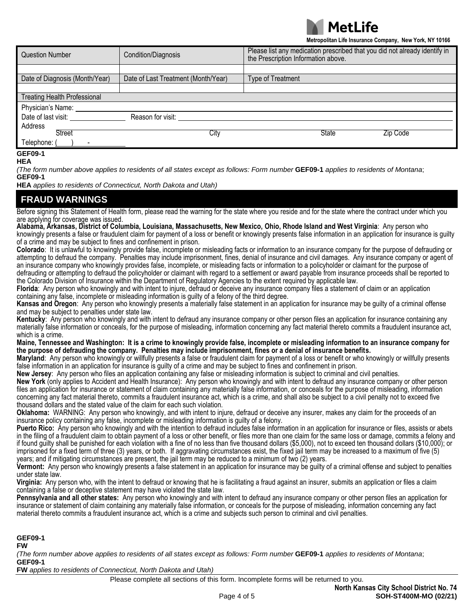

**Metropolitan Life Insurance Company, New York, NY 10166**

| <b>Question Number</b>              | Condition/Diagnosis                 | Please list any medication prescribed that you did not already identify in<br>the Prescription Information above. |  |
|-------------------------------------|-------------------------------------|-------------------------------------------------------------------------------------------------------------------|--|
|                                     |                                     |                                                                                                                   |  |
| Date of Diagnosis (Month/Year)      | Date of Last Treatment (Month/Year) | <b>Type of Treatment</b>                                                                                          |  |
| <b>Treating Health Professional</b> |                                     |                                                                                                                   |  |
| Physician's Name:                   |                                     |                                                                                                                   |  |
| Date of last visit:                 | Reason for visit:                   |                                                                                                                   |  |
| Address                             |                                     |                                                                                                                   |  |
| Street                              | City                                | State<br>Zip Code                                                                                                 |  |
| Telephone: (                        |                                     |                                                                                                                   |  |
| <b>GEF09-1</b>                      |                                     |                                                                                                                   |  |

## **HEA**

*(The form number above applies to residents of all states except as follows: Form number* **GEF09-1** *applies to residents of Montana*; **GEF09-1**

**HEA** *applies to residents of Connecticut, North Dakota and Utah)*

## **FRAUD WARNINGS**

Before signing this Statement of Health form, please read the warning for the state where you reside and for the state where the contract under which you are applying for coverage was issued.

**Alabama, Arkansas, District of Columbia, Louisiana, Massachusetts, New Mexico, Ohio, Rhode Island and West Virginia**: Any person who knowingly presents a false or fraudulent claim for payment of a loss or benefit or knowingly presents false information in an application for insurance is guilty of a crime and may be subject to fines and confinement in prison.

**Colorado**: It is unlawful to knowingly provide false, incomplete or misleading facts or information to an insurance company for the purpose of defrauding or attempting to defraud the company. Penalties may include imprisonment, fines, denial of insurance and civil damages. Any insurance company or agent of an insurance company who knowingly provides false, incomplete, or misleading facts or information to a policyholder or claimant for the purpose of defrauding or attempting to defraud the policyholder or claimant with regard to a settlement or award payable from insurance proceeds shall be reported to the Colorado Division of Insurance within the Department of Regulatory Agencies to the extent required by applicable law.

**Florida**: Any person who knowingly and with intent to injure, defraud or deceive any insurance company files a statement of claim or an application containing any false, incomplete or misleading information is guilty of a felony of the third degree.

**Kansas and Oregon**: Any person who knowingly presents a materially false statement in an application for insurance may be guilty of a criminal offense and may be subject to penalties under state law.

**Kentucky**: Any person who knowingly and with intent to defraud any insurance company or other person files an application for insurance containing any materially false information or conceals, for the purpose of misleading, information concerning any fact material thereto commits a fraudulent insurance act, which is a crime.

**Maine, Tennessee and Washington: It is a crime to knowingly provide false, incomplete or misleading information to an insurance company for the purpose of defrauding the company. Penalties may include imprisonment, fines or a denial of insurance benefits.**

**Maryland**: Any person who knowingly or willfully presents a false or fraudulent claim for payment of a loss or benefit or who knowingly or willfully presents false information in an application for insurance is guilty of a crime and may be subject to fines and confinement in prison.

**New Jersey**: Any person who files an application containing any false or misleading information is subject to criminal and civil penalties.

**New York** (only applies to Accident and Health Insurance): Any person who knowingly and with intent to defraud any insurance company or other person files an application for insurance or statement of claim containing any materially false information, or conceals for the purpose of misleading, information concerning any fact material thereto, commits a fraudulent insurance act, which is a crime, and shall also be subject to a civil penalty not to exceed five thousand dollars and the stated value of the claim for each such violation.

**Oklahoma:** WARNING: Any person who knowingly, and with intent to injure, defraud or deceive any insurer, makes any claim for the proceeds of an insurance policy containing any false, incomplete or misleading information is guilty of a felony.

**Puerto Rico:** Any person who knowingly and with the intention to defraud includes false information in an application for insurance or files, assists or abets in the filing of a fraudulent claim to obtain payment of a loss or other benefit, or files more than one claim for the same loss or damage, commits a felony and if found guilty shall be punished for each violation with a fine of no less than five thousand dollars (\$5,000), not to exceed ten thousand dollars (\$10,000); or imprisoned for a fixed term of three (3) years, or both. If aggravating circumstances exist, the fixed jail term may be increased to a maximum of five (5) years; and if mitigating circumstances are present, the jail term may be reduced to a minimum of two (2) years.

**Vermont:** Any person who knowingly presents a false statement in an application for insurance may be guilty of a criminal offense and subject to penalties under state law.

**Virginia:** Any person who, with the intent to defraud or knowing that he is facilitating a fraud against an insurer, submits an application or files a claim containing a false or deceptive statement may have violated the state law.

**Pennsylvania and all other states:** Any person who knowingly and with intent to defraud any insurance company or other person files an application for insurance or statement of claim containing any materially false information, or conceals for the purpose of misleading, information concerning any fact material thereto commits a fraudulent insurance act, which is a crime and subjects such person to criminal and civil penalties.

**GEF09-1**

**FW**

*(The form number above applies to residents of all states except as follows: Form number* **GEF09-1** *applies to residents of Montana*; **GEF09-1**

**FW** *applies to residents of Connecticut, North Dakota and Utah)*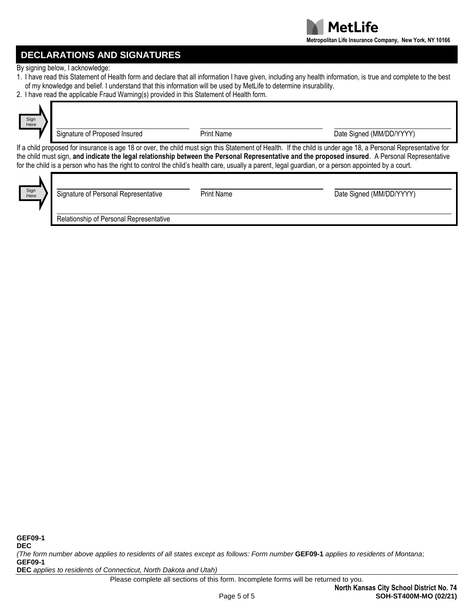

# **DECLARATIONS AND SIGNATURES**

By signing below, I acknowledge:

- 1. I have read this Statement of Health form and declare that all information I have given, including any health information, is true and complete to the best of my knowledge and belief. I understand that this information will be used by MetLife to determine insurability.
- 2. I have read the applicable Fraud Warning(s) provided in this Statement of Health form.

| Sign<br>Here |  |
|--------------|--|
|              |  |

Signature of Proposed Insured **Proposed Insured** Print Name **Date Signed (MM/DD/YYYY)** 

If a child proposed for insurance is age 18 or over, the child must sign this Statement of Health. If the child is under age 18, a Personal Representative for the child must sign, **and indicate the legal relationship between the Personal Representative and the proposed insured**. A Personal Representative for the child is a person who has the right to control the child's health care, usually a parent, legal guardian, or a person appointed by a court.



| Signature of Personal Representative    | <b>Print Name</b> | Date Signed (MM/DD/YYYY) |
|-----------------------------------------|-------------------|--------------------------|
| Relationship of Personal Representative |                   |                          |

*(The form number above applies to residents of all states except as follows: Form number* **GEF09-1** *applies to residents of Montana*; **GEF09-1**

**DEC** *applies to residents of Connecticut, North Dakota and Utah)*